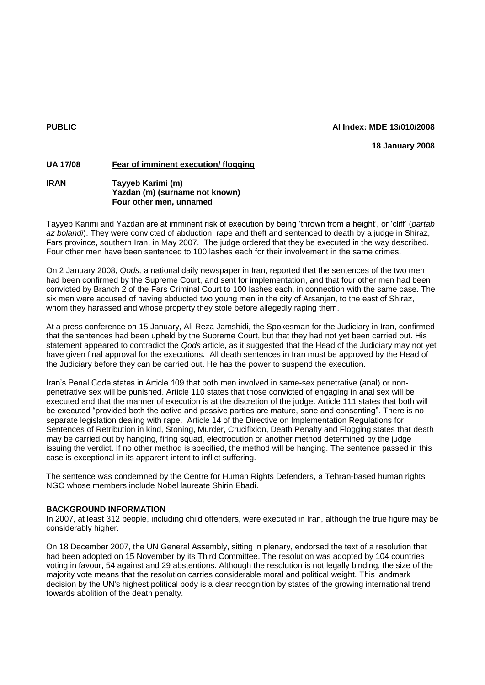### **PUBLIC AI Index: MDE 13/010/2008**

**18 January 2008**

| <b>UA 17/08</b> | Fear of imminent execution/flogging                                            |
|-----------------|--------------------------------------------------------------------------------|
| <b>IRAN</b>     | Tayyeb Karimi (m)<br>Yazdan (m) (surname not known)<br>Four other men, unnamed |
|                 |                                                                                |

Tayyeb Karimi and Yazdan are at imminent risk of execution by being 'thrown from a height', or 'cliff' (*partab az bolandi*). They were convicted of abduction, rape and theft and sentenced to death by a judge in Shiraz, Fars province, southern Iran, in May 2007. The judge ordered that they be executed in the way described. Four other men have been sentenced to 100 lashes each for their involvement in the same crimes.

On 2 January 2008, *Qods,* a national daily newspaper in Iran, reported that the sentences of the two men had been confirmed by the Supreme Court, and sent for implementation, and that four other men had been convicted by Branch 2 of the Fars Criminal Court to 100 lashes each, in connection with the same case. The six men were accused of having abducted two young men in the city of Arsanjan, to the east of Shiraz, whom they harassed and whose property they stole before allegedly raping them.

At a press conference on 15 January, Ali Reza Jamshidi, the Spokesman for the Judiciary in Iran, confirmed that the sentences had been upheld by the Supreme Court, but that they had not yet been carried out. His statement appeared to contradict the *Qods* article, as it suggested that the Head of the Judiciary may not yet have given final approval for the executions. All death sentences in Iran must be approved by the Head of the Judiciary before they can be carried out. He has the power to suspend the execution.

Iran's Penal Code states in Article 109 that both men involved in same-sex penetrative (anal) or nonpenetrative sex will be punished. Article 110 states that those convicted of engaging in anal sex will be executed and that the manner of execution is at the discretion of the judge. Article 111 states that both will be executed "provided both the active and passive parties are mature, sane and consenting". There is no separate legislation dealing with rape. Article 14 of the Directive on Implementation Regulations for Sentences of Retribution in kind, Stoning, Murder, Crucifixion, Death Penalty and Flogging states that death may be carried out by hanging, firing squad, electrocution or another method determined by the judge issuing the verdict. If no other method is specified, the method will be hanging. The sentence passed in this case is exceptional in its apparent intent to inflict suffering.

The sentence was condemned by the Centre for Human Rights Defenders, a Tehran-based human rights NGO whose members include Nobel laureate Shirin Ebadi.

### **BACKGROUND INFORMATION**

In 2007, at least 312 people, including child offenders, were executed in Iran, although the true figure may be considerably higher.

On 18 December 2007, the UN General Assembly, sitting in plenary, endorsed the text of a resolution that had been adopted on 15 November by its Third Committee. The resolution was adopted by 104 countries voting in favour, 54 against and 29 abstentions. Although the resolution is not legally binding, the size of the majority vote means that the resolution carries considerable moral and political weight. This landmark decision by the UN's highest political body is a clear recognition by states of the growing international trend towards abolition of the death penalty.